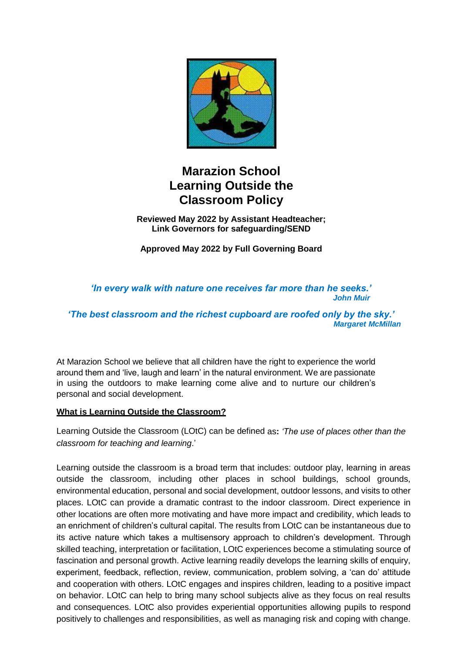

# **Marazion School Learning Outside the Classroom Policy**

**Reviewed May 2022 by Assistant Headteacher; Link Governors for safeguarding/SEND**

**Approved May 2022 by Full Governing Board**

*'In every walk with nature one receives far more than he seeks.' John Muir*

*'The best classroom and the richest cupboard are roofed only by the sky.' Margaret McMillan*

At Marazion School we believe that all children have the right to experience the world around them and 'live, laugh and learn' in the natural environment. We are passionate in using the outdoors to make learning come alive and to nurture our children's personal and social development.

#### **What is Learning Outside the Classroom?**

Learning Outside the Classroom (LOtC) can be defined as**:** *'The use of places other than the classroom for teaching and learning*.'

Learning outside the classroom is a broad term that includes: outdoor play, learning in areas outside the classroom, including other places in school buildings, school grounds, environmental education, personal and social development, outdoor lessons, and visits to other places. LOtC can provide a dramatic contrast to the indoor classroom. Direct experience in other locations are often more motivating and have more impact and credibility, which leads to an enrichment of children's cultural capital. The results from LOtC can be instantaneous due to its active nature which takes a multisensory approach to children's development. Through skilled teaching, interpretation or facilitation, LOtC experiences become a stimulating source of fascination and personal growth. Active learning readily develops the learning skills of enquiry, experiment, feedback, reflection, review, communication, problem solving, a 'can do' attitude and cooperation with others. LOtC engages and inspires children, leading to a positive impact on behavior. LOtC can help to bring many school subjects alive as they focus on real results and consequences. LOtC also provides experiential opportunities allowing pupils to respond positively to challenges and responsibilities, as well as managing risk and coping with change.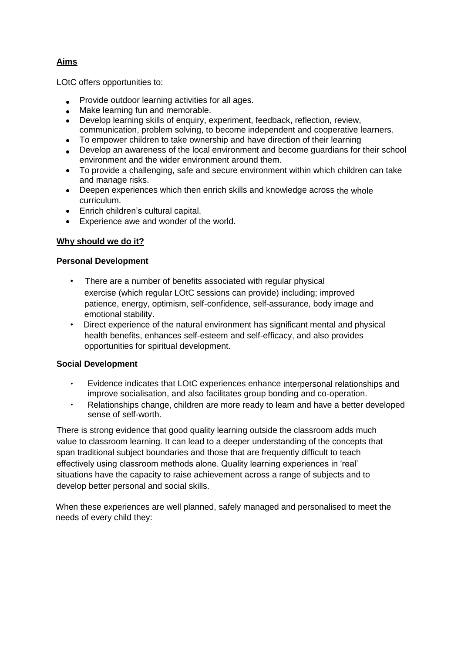# **Aims**

LOtC offers opportunities to:

- Provide outdoor learning activities for all ages.
- Make learning fun and memorable.
- Develop learning skills of enquiry, experiment, feedback, reflection, review, communication, problem solving, to become independent and cooperative learners.
- To empower children to take ownership and have direction of their learning
- Develop an awareness of the local environment and become guardians for their school environment and the wider environment around them.
- To provide a challenging, safe and secure environment within which children can take and manage risks.
- Deepen experiences which then enrich skills and knowledge across the whole curriculum.
- Enrich children's cultural capital.
- Experience awe and wonder of the world.

# **Why should we do it?**

#### **Personal Development**

- There are a number of benefits associated with regular physical exercise (which regular LOtC sessions can provide) including; improved patience, energy, optimism, self-confidence, self-assurance, body image and emotional stability.
- Direct experience of the natural environment has significant mental and physical health benefits, enhances self-esteem and self-efficacy, and also provides opportunities for spiritual development.

#### **Social Development**

- Evidence indicates that LOtC experiences enhance interpersonal relationships and improve socialisation, and also facilitates group bonding and co-operation.
- Relationships change, children are more ready to learn and have a better developed sense of self-worth.

There is strong evidence that good quality learning outside the classroom adds much value to classroom learning. It can lead to a deeper understanding of the concepts that span traditional subject boundaries and those that are frequently difficult to teach effectively using classroom methods alone. Quality learning experiences in 'real' situations have the capacity to raise achievement across a range of subjects and to develop better personal and social skills.

When these experiences are well planned, safely managed and personalised to meet the needs of every child they: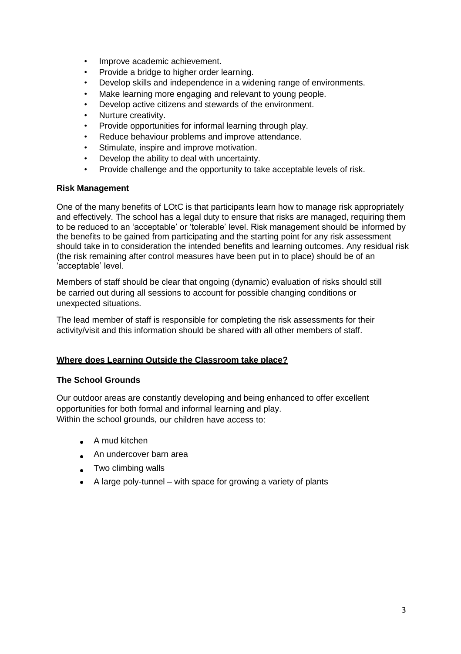- Improve academic achievement.
- Provide a bridge to higher order learning.
- Develop skills and independence in a widening range of environments.
- Make learning more engaging and relevant to young people.
- Develop active citizens and stewards of the environment.
- Nurture creativity.
- Provide opportunities for informal learning through play.
- Reduce behaviour problems and improve attendance.
- Stimulate, inspire and improve motivation.
- Develop the ability to deal with uncertainty.
- Provide challenge and the opportunity to take acceptable levels of risk.

#### **Risk Management**

One of the many benefits of LOtC is that participants learn how to manage risk appropriately and effectively. The school has a legal duty to ensure that risks are managed, requiring them to be reduced to an 'acceptable' or 'tolerable' level. Risk management should be informed by the benefits to be gained from participating and the starting point for any risk assessment should take in to consideration the intended benefits and learning outcomes. Any residual risk (the risk remaining after control measures have been put in to place) should be of an 'acceptable' level.

Members of staff should be clear that ongoing (dynamic) evaluation of risks should still be carried out during all sessions to account for possible changing conditions or unexpected situations.

The lead member of staff is responsible for completing the risk assessments for their activity/visit and this information should be shared with all other members of staff.

#### **Where does Learning Outside the Classroom take place?**

#### **The School Grounds**

Our outdoor areas are constantly developing and being enhanced to offer excellent opportunities for both formal and informal learning and play. Within the school grounds, our children have access to:

- A mud kitchen
- An undercover barn area
- Two climbing walls
- A large poly-tunnel with space for growing a variety of plants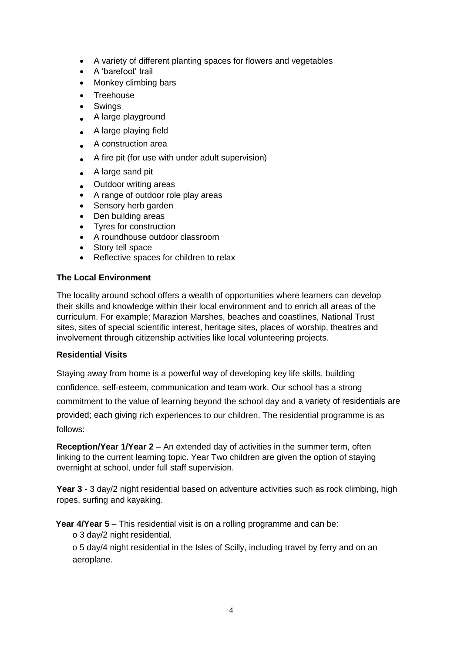- A variety of different planting spaces for flowers and vegetables
- A 'barefoot' trail
- Monkey climbing bars
- Treehouse
- **Swings**
- A large playground
- A large playing field
- A construction area
- A fire pit (for use with under adult supervision)
- A large sand pit
- Outdoor writing areas
- A range of outdoor role play areas
- Sensory herb garden
- Den building areas
- Tyres for construction
- A roundhouse outdoor classroom
- Story tell space
- Reflective spaces for children to relax

# **The Local Environment**

The locality around school offers a wealth of opportunities where learners can develop their skills and knowledge within their local environment and to enrich all areas of the curriculum. For example; Marazion Marshes, beaches and coastlines, National Trust sites, sites of special scientific interest, heritage sites, places of worship, theatres and involvement through citizenship activities like local volunteering projects.

#### **Residential Visits**

Staying away from home is a powerful way of developing key life skills, building confidence, self-esteem, communication and team work. Our school has a strong commitment to the value of learning beyond the school day and a variety of residentials are provided; each giving rich experiences to our children. The residential programme is as follows:

**Reception/Year 1/Year 2** – An extended day of activities in the summer term, often linking to the current learning topic. Year Two children are given the option of staying overnight at school, under full staff supervision.

**Year 3** - 3 day/2 night residential based on adventure activities such as rock climbing, high ropes, surfing and kayaking.

**Year 4/Year 5** – This residential visit is on a rolling programme and can be:

o 3 day/2 night residential.

o 5 day/4 night residential in the Isles of Scilly, including travel by ferry and on an aeroplane.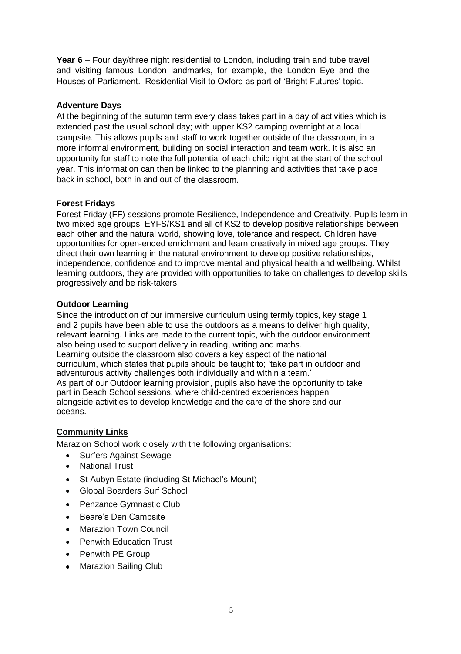**Year 6** – Four day/three night residential to London, including train and tube travel and visiting famous London landmarks, for example, the London Eye and the Houses of Parliament. Residential Visit to Oxford as part of 'Bright Futures' topic.

# **Adventure Days**

At the beginning of the autumn term every class takes part in a day of activities which is extended past the usual school day; with upper KS2 camping overnight at a local campsite. This allows pupils and staff to work together outside of the classroom, in a more informal environment, building on social interaction and team work. It is also an opportunity for staff to note the full potential of each child right at the start of the school year. This information can then be linked to the planning and activities that take place back in school, both in and out of the classroom.

# **Forest Fridays**

Forest Friday (FF) sessions promote Resilience, Independence and Creativity. Pupils learn in two mixed age groups; EYFS/KS1 and all of KS2 to develop positive relationships between each other and the natural world, showing love, tolerance and respect. Children have opportunities for open-ended enrichment and learn creatively in mixed age groups. They direct their own learning in the natural environment to develop positive relationships, independence, confidence and to improve mental and physical health and wellbeing. Whilst learning outdoors, they are provided with opportunities to take on challenges to develop skills progressively and be risk-takers.

#### **Outdoor Learning**

Since the introduction of our immersive curriculum using termly topics, key stage 1 and 2 pupils have been able to use the outdoors as a means to deliver high quality, relevant learning. Links are made to the current topic, with the outdoor environment also being used to support delivery in reading, writing and maths. Learning outside the classroom also covers a key aspect of the national curriculum, which states that pupils should be taught to; 'take part in outdoor and adventurous activity challenges both individually and within a team.' As part of our Outdoor learning provision, pupils also have the opportunity to take part in Beach School sessions, where child-centred experiences happen alongside activities to develop knowledge and the care of the shore and our oceans.

# **Community Links**

Marazion School work closely with the following organisations:

- Surfers Against Sewage
- **National Trust**
- St Aubyn Estate (including St Michael's Mount)
- Global Boarders Surf School
- Penzance Gymnastic Club
- Beare's Den Campsite
- **Marazion Town Council**
- Penwith Education Trust
- Penwith PE Group
- Marazion Sailing Club